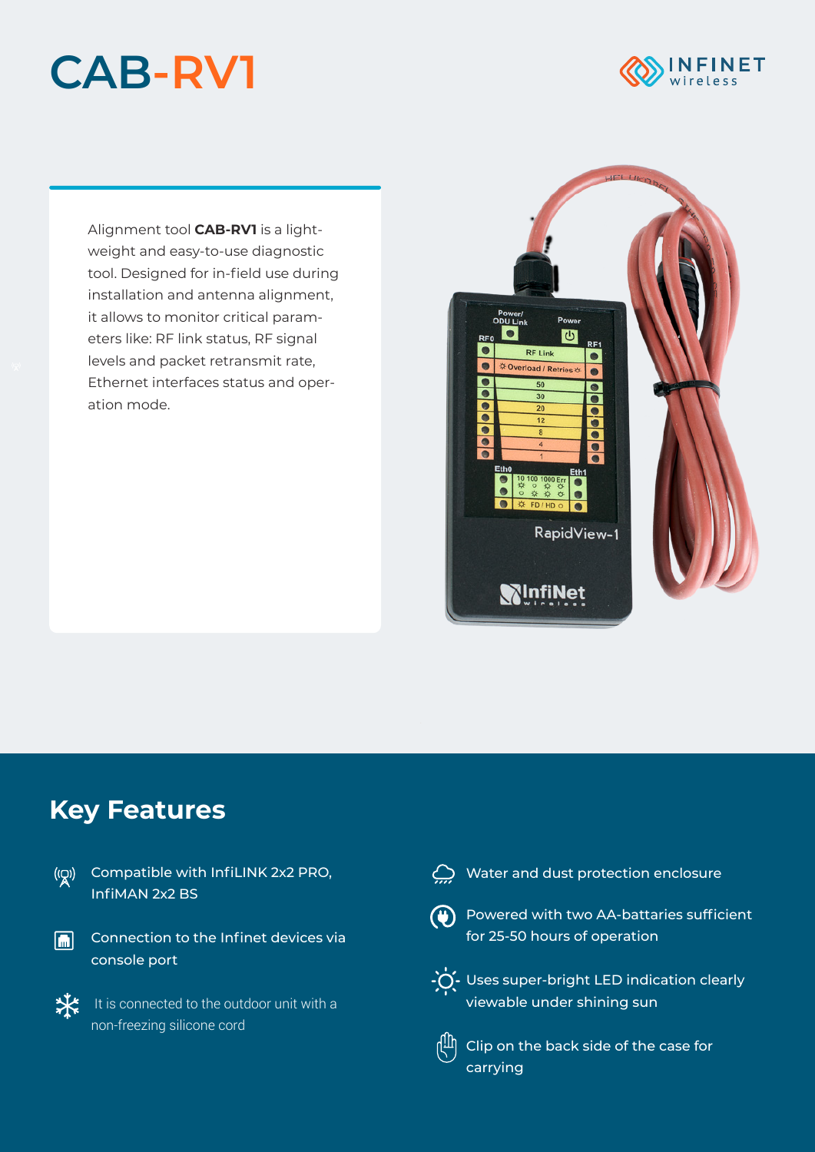## **CAB-RV1**



Alignment tool **CAB-RV1** is a lightweight and easy-to-use diagnostic tool. Designed for in-field use during installation and antenna alignment, it allows to monitor critical parameters like: RF link status, RF signal levels and packet retransmit rate, Ethernet interfaces status and operation mode.



## **Key Features**

Compatible with InfiLINK 2x2 PRO, InfiMAN 2x2 BS





 $\bigoplus$  Water and dust protection enclosure



Powered with two AA-battaries sufficient for 25-50 hours of operation



 $\cdot \bullet$  Uses super-bright LED indication clearly viewable under shining sun



 $\left[\begin{matrix} 0\ 0 \end{matrix}\right]$  Clip on the back side of the case for carrying